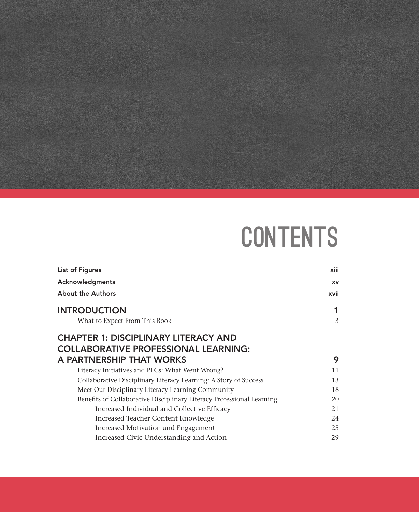

## **CONTENTS**

| List of Figures                                                       | xiii      |
|-----------------------------------------------------------------------|-----------|
| Acknowledgments                                                       | <b>XV</b> |
| <b>About the Authors</b>                                              | xvii      |
| <b>INTRODUCTION</b>                                                   |           |
| What to Expect From This Book                                         | 3         |
| <b>CHAPTER 1: DISCIPLINARY LITERACY AND</b>                           |           |
| <b>COLLABORATIVE PROFESSIONAL LEARNING:</b>                           |           |
| A PARTNERSHIP THAT WORKS                                              | 9         |
| Literacy Initiatives and PLCs: What Went Wrong?                       | 11        |
| Collaborative Disciplinary Literacy Learning: A Story of Success      | 13        |
| Meet Our Disciplinary Literacy Learning Community                     | 18        |
| Benefits of Collaborative Disciplinary Literacy Professional Learning | 20        |
| Increased Individual and Collective Efficacy                          | 21        |
| Increased Teacher Content Knowledge                                   | 24        |
| Increased Motivation and Engagement                                   | 25        |
| Increased Civic Understanding and Action                              | 29        |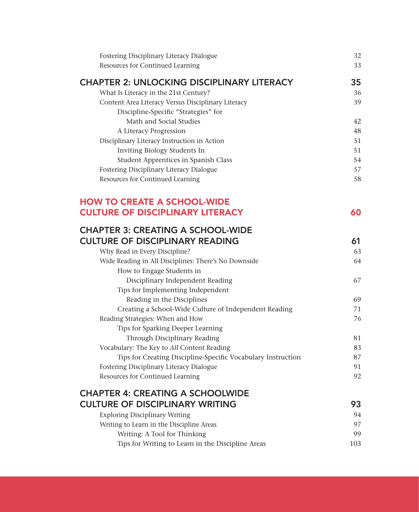| Fostering Disciplinary Literacy Dialogue<br>Resources for Continued Learning        | 32<br>33 |
|-------------------------------------------------------------------------------------|----------|
| <b>CHAPTER 2: UNLOCKING DISCIPLINARY LITERACY</b>                                   | 35       |
| What Is Literacy in the 21st Century?                                               | 36       |
| Content Area Literacy Versus Disciplinary Literacy                                  | 39       |
| Discipline-Specific "Strategies" for                                                |          |
| Math and Social Studies                                                             | 42       |
| A Literacy Progression                                                              | 48       |
| Disciplinary Literacy Instruction in Action                                         | 51       |
| Inviting Biology Students In                                                        | 51       |
| Student Apprentices in Spanish Class                                                | 54       |
| Fostering Disciplinary Literacy Dialogue                                            | 57       |
| Resources for Continued Learning                                                    | 58       |
| <b>HOW TO CREATE A SCHOOL-WIDE</b>                                                  |          |
| <b>CULTURE OF DISCIPLINARY LITERACY</b>                                             | 60       |
| <b>CHAPTER 3: CREATING A SCHOOL-WIDE</b>                                            |          |
| <b>CULTURE OF DISCIPLINARY READING</b>                                              | 61       |
| Why Read in Every Discipline?                                                       | 63       |
| Wide Reading in All Disciplines: There's No Downside                                | 64       |
| How to Engage Students in                                                           |          |
| Disciplinary Independent Reading                                                    | 67       |
| Tips for Implementing Independent                                                   |          |
| Reading in the Disciplines<br>Creating a School-Wide Culture of Independent Reading | 69<br>71 |
| Reading Strategies: When and How                                                    | 76       |
| Tips for Sparking Deeper Learning                                                   |          |
| Through Disciplinary Reading                                                        | 81       |
| Vocabulary: The Key to All Content Reading                                          | 83       |
| Tips for Creating Discipline-Specific Vocabulary Instruction                        | 87       |
| Fostering Disciplinary Literacy Dialogue                                            | 91       |
| Resources for Continued Learning                                                    | 92       |
| <b>CHAPTER 4: CREATING A SCHOOLWIDE</b>                                             |          |
| <b>CULTURE OF DISCIPLINARY WRITING</b>                                              | 93       |
| <b>Exploring Disciplinary Writing</b>                                               | 94       |
| Writing to Learn in the Discipline Areas                                            | 97       |
| Writing: A Tool for Thinking                                                        | 99       |
| Tips for Writing to Learn in the Discipline Areas                                   | 103      |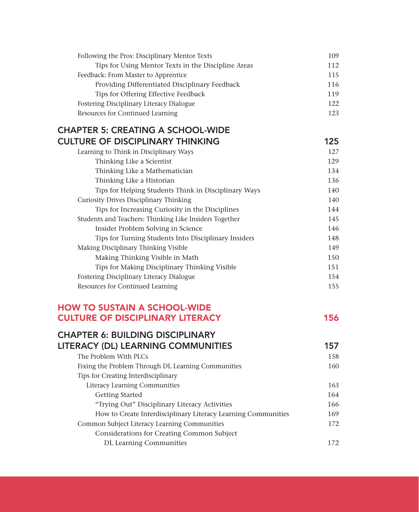| Following the Pros: Disciplinary Mentor Texts       | 109 |
|-----------------------------------------------------|-----|
| Tips for Using Mentor Texts in the Discipline Areas | 112 |
| Feedback: From Master to Apprentice                 | 115 |
| Providing Differentiated Disciplinary Feedback      | 116 |
| Tips for Offering Effective Feedback                | 119 |
| Fostering Disciplinary Literacy Dialogue            | 122 |
| Resources for Continued Learning                    | 123 |

## CHAPTER 5: CREATING A SCHOOL-WIDE CULTURE OF DISCIPLINARY THINKING 125

| Learning to Think in Disciplinary Ways                 | 127 |
|--------------------------------------------------------|-----|
| Thinking Like a Scientist                              | 129 |
| Thinking Like a Mathematician                          | 134 |
| Thinking Like a Historian                              | 136 |
| Tips for Helping Students Think in Disciplinary Ways   | 140 |
| <b>Curiosity Drives Disciplinary Thinking</b>          | 140 |
| Tips for Increasing Curiosity in the Disciplines       | 144 |
| Students and Teachers: Thinking Like Insiders Together | 145 |
| Insider Problem Solving in Science                     | 146 |
| Tips for Turning Students Into Disciplinary Insiders   | 148 |
| Making Disciplinary Thinking Visible                   | 149 |
| Making Thinking Visible in Math                        | 150 |
| Tips for Making Disciplinary Thinking Visible          | 151 |
| <b>Fostering Disciplinary Literacy Dialogue</b>        | 154 |
| Resources for Continued Learning                       | 155 |
|                                                        |     |

## HOW TO SUSTAIN A SCHOOL-WIDE **CULTURE OF DISCIPLINARY LITERACY 156**

| <b>CHAPTER 6: BUILDING DISCIPLINARY</b>                       |     |
|---------------------------------------------------------------|-----|
| <b>LITERACY (DL) LEARNING COMMUNITIES</b>                     | 157 |
| The Problem With PLCs                                         | 158 |
| Fixing the Problem Through DL Learning Communities            | 160 |
| Tips for Creating Interdisciplinary                           |     |
| Literacy Learning Communities                                 | 163 |
| <b>Getting Started</b>                                        | 164 |
| "Trying Out" Disciplinary Literacy Activities                 | 166 |
| How to Create Interdisciplinary Literacy Learning Communities | 169 |
| Common Subject Literacy Learning Communities                  | 172 |
| Considerations for Creating Common Subject                    |     |
| DL Learning Communities                                       | 172 |
|                                                               |     |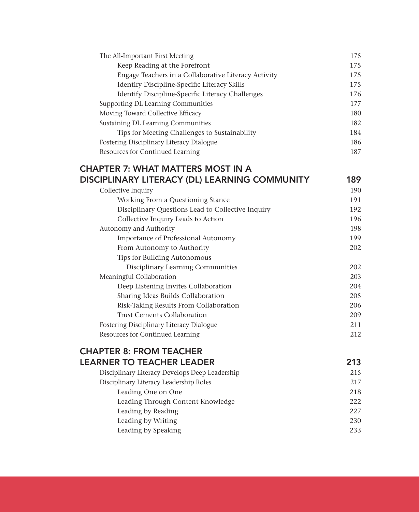| The All-Important First Meeting                      | 175 |
|------------------------------------------------------|-----|
| Keep Reading at the Forefront                        | 175 |
| Engage Teachers in a Collaborative Literacy Activity | 175 |
| Identify Discipline-Specific Literacy Skills         | 175 |
| Identify Discipline-Specific Literacy Challenges     | 176 |
| <b>Supporting DL Learning Communities</b>            | 177 |
| Moving Toward Collective Efficacy                    | 180 |
| Sustaining DL Learning Communities                   | 182 |
| Tips for Meeting Challenges to Sustainability        | 184 |
| Fostering Disciplinary Literacy Dialogue             | 186 |
| Resources for Continued Learning                     | 187 |
| <b>CHAPTER 7: WHAT MATTERS MOST IN A</b>             |     |
| DISCIPLINARY LITERACY (DL) LEARNING COMMUNITY        | 189 |
| Collective Inquiry                                   | 190 |
| Working From a Questioning Stance                    | 191 |
| Disciplinary Questions Lead to Collective Inquiry    | 192 |
| Collective Inquiry Leads to Action                   | 196 |
| Autonomy and Authority                               | 198 |
| Importance of Professional Autonomy                  | 199 |
| From Autonomy to Authority                           | 202 |
| Tips for Building Autonomous                         |     |
| Disciplinary Learning Communities                    | 202 |
| Meaningful Collaboration                             | 203 |
| Deep Listening Invites Collaboration                 | 204 |
| Sharing Ideas Builds Collaboration                   | 205 |
| Risk-Taking Results From Collaboration               | 206 |
| <b>Trust Cements Collaboration</b>                   | 209 |
| Fostering Disciplinary Literacy Dialogue             | 211 |
| Resources for Continued Learning                     | 212 |
| <b>CHAPTER 8: FROM TEACHER</b>                       |     |
| <b>LEARNER TO TEACHER LEADER</b>                     | 213 |
| Disciplinary Literacy Develops Deep Leadership       | 215 |
| Disciplinary Literacy Leadership Roles               | 217 |
| Leading One on One                                   | 218 |
| Leading Through Content Knowledge                    | 222 |
| Leading by Reading                                   | 227 |
| Leading by Writing                                   | 230 |
| Leading by Speaking                                  | 233 |